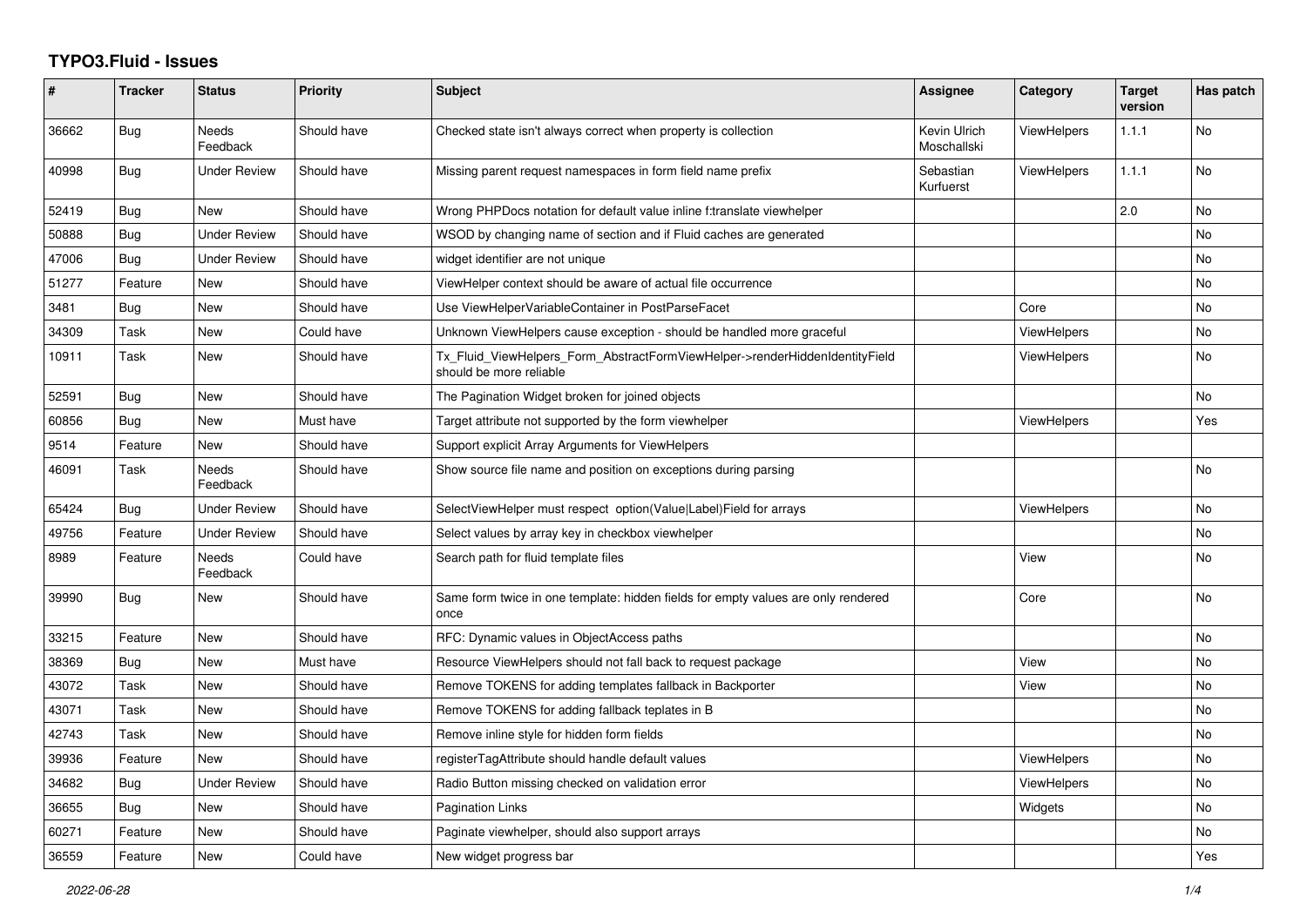## **TYPO3.Fluid - Issues**

| #     | <b>Tracker</b> | <b>Status</b>       | <b>Priority</b> | Subject                                                                                                | <b>Assignee</b>             | Category           | <b>Target</b><br>version | Has patch |
|-------|----------------|---------------------|-----------------|--------------------------------------------------------------------------------------------------------|-----------------------------|--------------------|--------------------------|-----------|
| 36662 | <b>Bug</b>     | Needs<br>Feedback   | Should have     | Checked state isn't always correct when property is collection                                         | Kevin Ulrich<br>Moschallski | ViewHelpers        | 1.1.1                    | No        |
| 40998 | Bug            | <b>Under Review</b> | Should have     | Missing parent request namespaces in form field name prefix                                            | Sebastian<br>Kurfuerst      | <b>ViewHelpers</b> | 1.1.1                    | <b>No</b> |
| 52419 | Bug            | <b>New</b>          | Should have     | Wrong PHPDocs notation for default value inline f:translate viewhelper                                 |                             |                    | 2.0                      | <b>No</b> |
| 50888 | Bug            | <b>Under Review</b> | Should have     | WSOD by changing name of section and if Fluid caches are generated                                     |                             |                    |                          | No        |
| 47006 | Bug            | <b>Under Review</b> | Should have     | widget identifier are not unique                                                                       |                             |                    |                          | No        |
| 51277 | Feature        | <b>New</b>          | Should have     | ViewHelper context should be aware of actual file occurrence                                           |                             |                    |                          | No        |
| 3481  | <b>Bug</b>     | <b>New</b>          | Should have     | Use ViewHelperVariableContainer in PostParseFacet                                                      |                             | Core               |                          | <b>No</b> |
| 34309 | Task           | New                 | Could have      | Unknown ViewHelpers cause exception - should be handled more graceful                                  |                             | <b>ViewHelpers</b> |                          | No        |
| 10911 | Task           | New                 | Should have     | Tx Fluid ViewHelpers Form AbstractFormViewHelper->renderHiddenIdentityField<br>should be more reliable |                             | <b>ViewHelpers</b> |                          | No        |
| 52591 | Bug            | <b>New</b>          | Should have     | The Pagination Widget broken for joined objects                                                        |                             |                    |                          | <b>No</b> |
| 60856 | Bug            | <b>New</b>          | Must have       | Target attribute not supported by the form viewhelper                                                  |                             | ViewHelpers        |                          | Yes       |
| 9514  | Feature        | New                 | Should have     | Support explicit Array Arguments for ViewHelpers                                                       |                             |                    |                          |           |
| 46091 | Task           | Needs<br>Feedback   | Should have     | Show source file name and position on exceptions during parsing                                        |                             |                    |                          | No        |
| 65424 | Bug            | <b>Under Review</b> | Should have     | SelectViewHelper must respect option(Value Label)Field for arrays                                      |                             | ViewHelpers        |                          | <b>No</b> |
| 49756 | Feature        | <b>Under Review</b> | Should have     | Select values by array key in checkbox viewhelper                                                      |                             |                    |                          | <b>No</b> |
| 8989  | Feature        | Needs<br>Feedback   | Could have      | Search path for fluid template files                                                                   |                             | View               |                          | No        |
| 39990 | Bug            | New                 | Should have     | Same form twice in one template: hidden fields for empty values are only rendered<br>once              |                             | Core               |                          | No        |
| 33215 | Feature        | New                 | Should have     | RFC: Dynamic values in ObjectAccess paths                                                              |                             |                    |                          | No        |
| 38369 | Bug            | <b>New</b>          | Must have       | Resource ViewHelpers should not fall back to request package                                           |                             | View               |                          | No        |
| 43072 | Task           | New                 | Should have     | Remove TOKENS for adding templates fallback in Backporter                                              |                             | View               |                          | <b>No</b> |
| 43071 | Task           | New                 | Should have     | Remove TOKENS for adding fallback teplates in B                                                        |                             |                    |                          | No        |
| 42743 | Task           | New                 | Should have     | Remove inline style for hidden form fields                                                             |                             |                    |                          | No        |
| 39936 | Feature        | <b>New</b>          | Should have     | registerTagAttribute should handle default values                                                      |                             | <b>ViewHelpers</b> |                          | <b>No</b> |
| 34682 | Bug            | <b>Under Review</b> | Should have     | Radio Button missing checked on validation error                                                       |                             | ViewHelpers        |                          | <b>No</b> |
| 36655 | Bug            | New                 | Should have     | Pagination Links                                                                                       |                             | Widgets            |                          | No        |
| 60271 | Feature        | New                 | Should have     | Paginate viewhelper, should also support arrays                                                        |                             |                    |                          | No        |
| 36559 | Feature        | <b>New</b>          | Could have      | New widget progress bar                                                                                |                             |                    |                          | Yes       |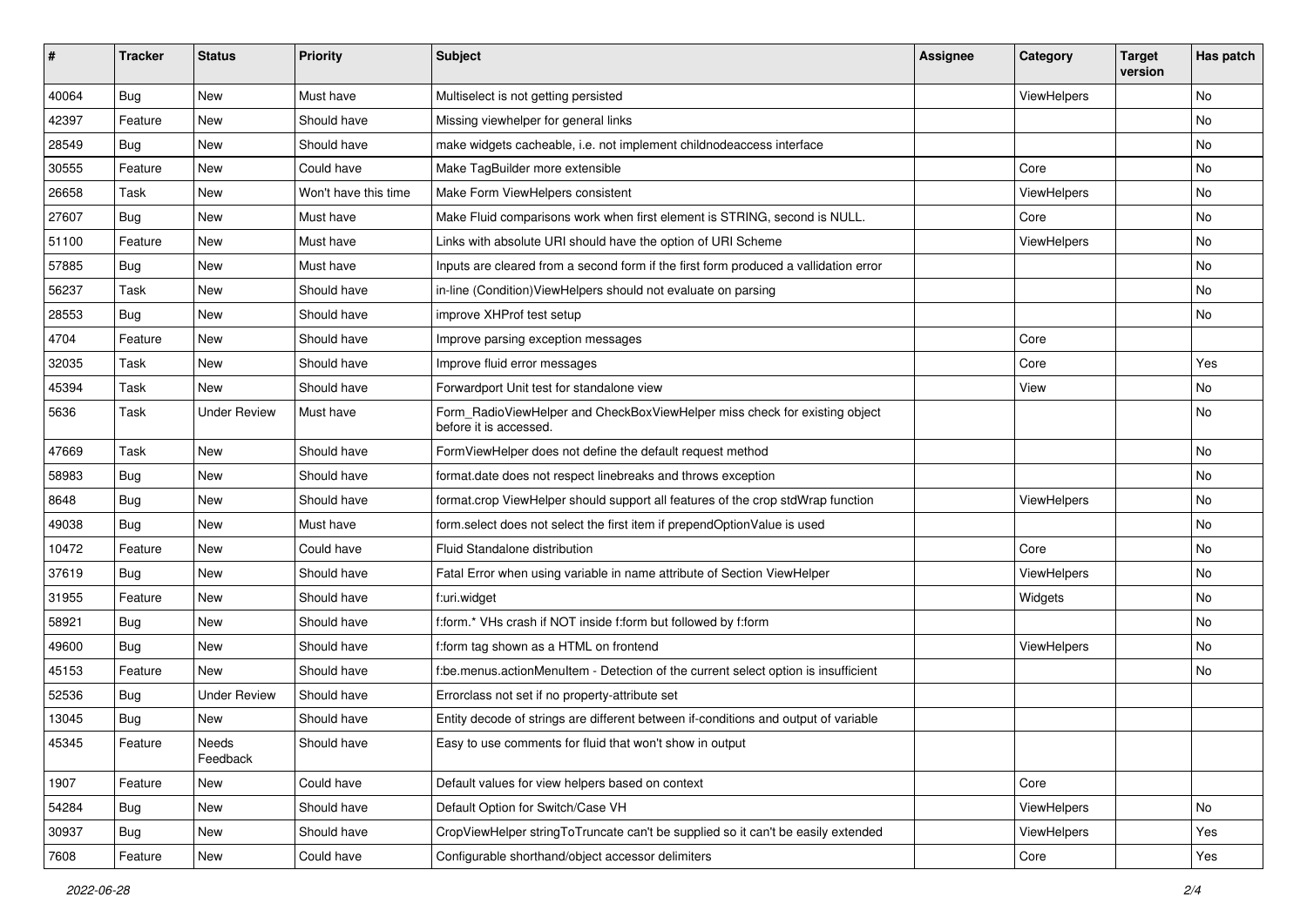| ∦     | <b>Tracker</b> | <b>Status</b>       | <b>Priority</b>      | <b>Subject</b>                                                                                       | <b>Assignee</b> | Category    | <b>Target</b><br>version | Has patch |
|-------|----------------|---------------------|----------------------|------------------------------------------------------------------------------------------------------|-----------------|-------------|--------------------------|-----------|
| 40064 | Bug            | New                 | Must have            | Multiselect is not getting persisted                                                                 |                 | ViewHelpers |                          | No        |
| 42397 | Feature        | New                 | Should have          | Missing viewhelper for general links                                                                 |                 |             |                          | No        |
| 28549 | Bug            | New                 | Should have          | make widgets cacheable, i.e. not implement childnodeaccess interface                                 |                 |             |                          | No        |
| 30555 | Feature        | <b>New</b>          | Could have           | Make TagBuilder more extensible                                                                      |                 | Core        |                          | No        |
| 26658 | Task           | New                 | Won't have this time | Make Form ViewHelpers consistent                                                                     |                 | ViewHelpers |                          | No        |
| 27607 | Bug            | New                 | Must have            | Make Fluid comparisons work when first element is STRING, second is NULL.                            |                 | Core        |                          | No        |
| 51100 | Feature        | New                 | Must have            | Links with absolute URI should have the option of URI Scheme                                         |                 | ViewHelpers |                          | No        |
| 57885 | Bug            | New                 | Must have            | Inputs are cleared from a second form if the first form produced a vallidation error                 |                 |             |                          | No        |
| 56237 | Task           | New                 | Should have          | in-line (Condition) View Helpers should not evaluate on parsing                                      |                 |             |                          | No        |
| 28553 | Bug            | New                 | Should have          | improve XHProf test setup                                                                            |                 |             |                          | No        |
| 4704  | Feature        | <b>New</b>          | Should have          | Improve parsing exception messages                                                                   |                 | Core        |                          |           |
| 32035 | Task           | New                 | Should have          | Improve fluid error messages                                                                         |                 | Core        |                          | Yes       |
| 45394 | Task           | New                 | Should have          | Forwardport Unit test for standalone view                                                            |                 | View        |                          | No.       |
| 5636  | Task           | <b>Under Review</b> | Must have            | Form_RadioViewHelper and CheckBoxViewHelper miss check for existing object<br>before it is accessed. |                 |             |                          | No        |
| 47669 | Task           | New                 | Should have          | FormViewHelper does not define the default request method                                            |                 |             |                          | No        |
| 58983 | Bug            | New                 | Should have          | format.date does not respect linebreaks and throws exception                                         |                 |             |                          | No        |
| 8648  | Bug            | New                 | Should have          | format.crop ViewHelper should support all features of the crop stdWrap function                      |                 | ViewHelpers |                          | No        |
| 49038 | Bug            | <b>New</b>          | Must have            | form.select does not select the first item if prependOptionValue is used                             |                 |             |                          | No        |
| 10472 | Feature        | New                 | Could have           | Fluid Standalone distribution                                                                        |                 | Core        |                          | No        |
| 37619 | Bug            | New                 | Should have          | Fatal Error when using variable in name attribute of Section ViewHelper                              |                 | ViewHelpers |                          | No        |
| 31955 | Feature        | New                 | Should have          | f:uri.widget                                                                                         |                 | Widgets     |                          | No        |
| 58921 | Bug            | New                 | Should have          | f:form.* VHs crash if NOT inside f:form but followed by f:form                                       |                 |             |                          | No        |
| 49600 | Bug            | <b>New</b>          | Should have          | f:form tag shown as a HTML on frontend                                                               |                 | ViewHelpers |                          | No        |
| 45153 | Feature        | New                 | Should have          | f:be.menus.actionMenuItem - Detection of the current select option is insufficient                   |                 |             |                          | No        |
| 52536 | Bug            | <b>Under Review</b> | Should have          | Errorclass not set if no property-attribute set                                                      |                 |             |                          |           |
| 13045 | Bug            | New                 | Should have          | Entity decode of strings are different between if-conditions and output of variable                  |                 |             |                          |           |
| 45345 | Feature        | Needs<br>Feedback   | Should have          | Easy to use comments for fluid that won't show in output                                             |                 |             |                          |           |
| 1907  | Feature        | New                 | Could have           | Default values for view helpers based on context                                                     |                 | Core        |                          |           |
| 54284 | Bug            | New                 | Should have          | Default Option for Switch/Case VH                                                                    |                 | ViewHelpers |                          | No        |
| 30937 | Bug            | New                 | Should have          | CropViewHelper stringToTruncate can't be supplied so it can't be easily extended                     |                 | ViewHelpers |                          | Yes       |
| 7608  | Feature        | New                 | Could have           | Configurable shorthand/object accessor delimiters                                                    |                 | Core        |                          | Yes       |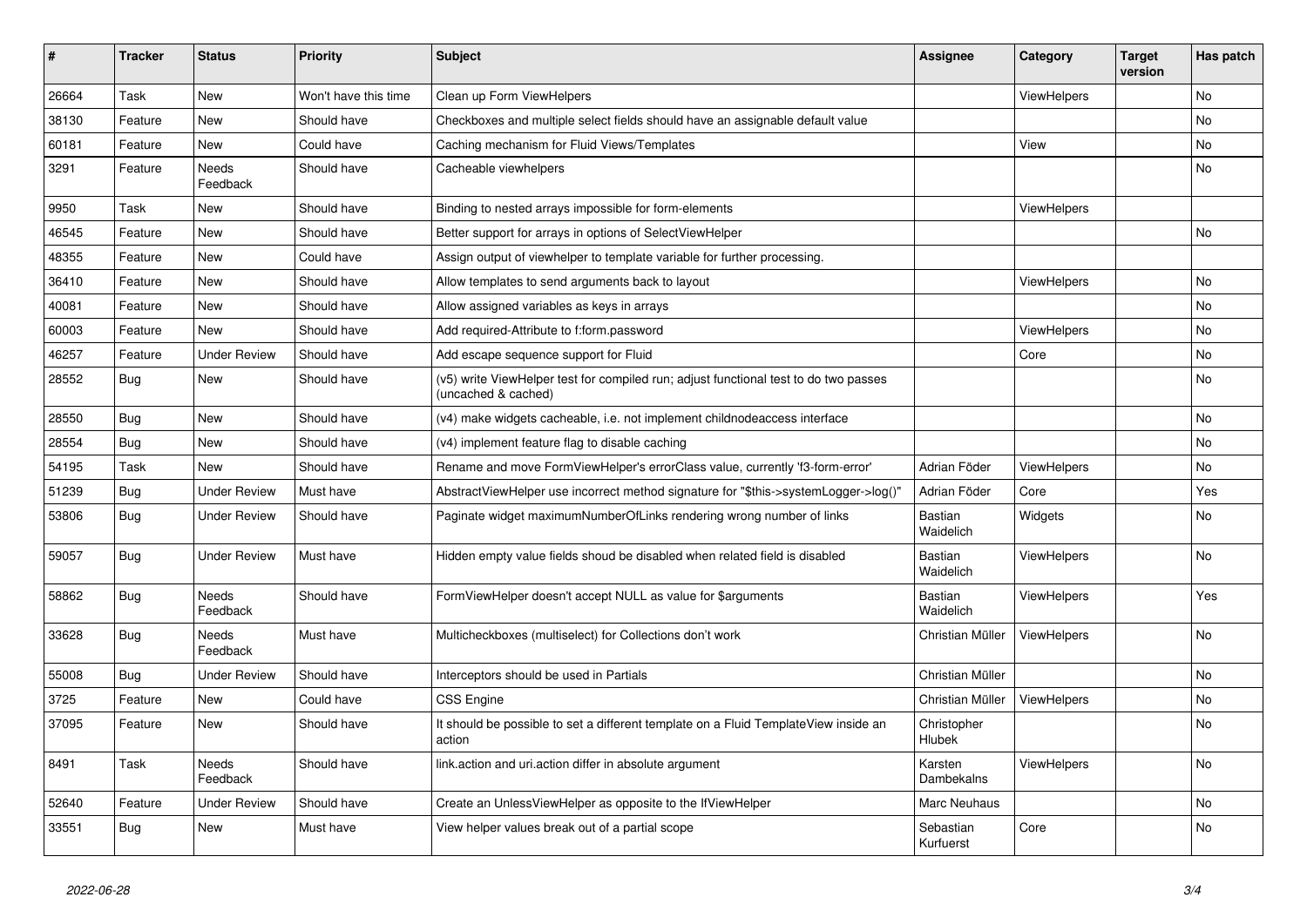| #     | <b>Tracker</b> | <b>Status</b>       | <b>Priority</b>      | <b>Subject</b>                                                                                              | <b>Assignee</b>        | Category           | <b>Target</b><br>version | Has patch |
|-------|----------------|---------------------|----------------------|-------------------------------------------------------------------------------------------------------------|------------------------|--------------------|--------------------------|-----------|
| 26664 | Task           | <b>New</b>          | Won't have this time | Clean up Form ViewHelpers                                                                                   |                        | <b>ViewHelpers</b> |                          | <b>No</b> |
| 38130 | Feature        | New                 | Should have          | Checkboxes and multiple select fields should have an assignable default value                               |                        |                    |                          | <b>No</b> |
| 60181 | Feature        | New                 | Could have           | Caching mechanism for Fluid Views/Templates                                                                 |                        | View               |                          | No        |
| 3291  | Feature        | Needs<br>Feedback   | Should have          | Cacheable viewhelpers                                                                                       |                        |                    |                          | No        |
| 9950  | Task           | New                 | Should have          | Binding to nested arrays impossible for form-elements                                                       |                        | <b>ViewHelpers</b> |                          |           |
| 46545 | Feature        | New                 | Should have          | Better support for arrays in options of SelectViewHelper                                                    |                        |                    |                          | <b>No</b> |
| 48355 | Feature        | New                 | Could have           | Assign output of viewhelper to template variable for further processing.                                    |                        |                    |                          |           |
| 36410 | Feature        | New                 | Should have          | Allow templates to send arguments back to layout                                                            |                        | <b>ViewHelpers</b> |                          | <b>No</b> |
| 40081 | Feature        | <b>New</b>          | Should have          | Allow assigned variables as keys in arrays                                                                  |                        |                    |                          | No        |
| 60003 | Feature        | <b>New</b>          | Should have          | Add required-Attribute to f:form.password                                                                   |                        | ViewHelpers        |                          | No        |
| 46257 | Feature        | <b>Under Review</b> | Should have          | Add escape sequence support for Fluid                                                                       |                        | Core               |                          | No        |
| 28552 | Bug            | <b>New</b>          | Should have          | (v5) write ViewHelper test for compiled run; adjust functional test to do two passes<br>(uncached & cached) |                        |                    |                          | <b>No</b> |
| 28550 | Bug            | New                 | Should have          | (v4) make widgets cacheable, i.e. not implement childnodeaccess interface                                   |                        |                    |                          | <b>No</b> |
| 28554 | Bug            | New                 | Should have          | (v4) implement feature flag to disable caching                                                              |                        |                    |                          | <b>No</b> |
| 54195 | Task           | New                 | Should have          | Rename and move FormViewHelper's errorClass value, currently 'f3-form-error'                                | Adrian Föder           | ViewHelpers        |                          | <b>No</b> |
| 51239 | Bug            | <b>Under Review</b> | Must have            | AbstractViewHelper use incorrect method signature for "\$this->systemLogger->log()"                         | Adrian Föder           | Core               |                          | Yes       |
| 53806 | <b>Bug</b>     | <b>Under Review</b> | Should have          | Paginate widget maximumNumberOfLinks rendering wrong number of links                                        | Bastian<br>Waidelich   | Widgets            |                          | No        |
| 59057 | Bug            | <b>Under Review</b> | Must have            | Hidden empty value fields shoud be disabled when related field is disabled                                  | Bastian<br>Waidelich   | <b>ViewHelpers</b> |                          | <b>No</b> |
| 58862 | <b>Bug</b>     | Needs<br>Feedback   | Should have          | FormViewHelper doesn't accept NULL as value for \$arguments                                                 | Bastian<br>Waidelich   | ViewHelpers        |                          | Yes       |
| 33628 | Bug            | Needs<br>Feedback   | Must have            | Multicheckboxes (multiselect) for Collections don't work                                                    | Christian Müller       | ViewHelpers        |                          | <b>No</b> |
| 55008 | Bug            | <b>Under Review</b> | Should have          | Interceptors should be used in Partials                                                                     | Christian Müller       |                    |                          | <b>No</b> |
| 3725  | Feature        | New                 | Could have           | <b>CSS Engine</b>                                                                                           | Christian Müller       | <b>ViewHelpers</b> |                          | <b>No</b> |
| 37095 | Feature        | <b>New</b>          | Should have          | It should be possible to set a different template on a Fluid TemplateView inside an<br>action               | Christopher<br>Hlubek  |                    |                          | <b>No</b> |
| 8491  | Task           | Needs<br>Feedback   | Should have          | link.action and uri.action differ in absolute argument                                                      | Karsten<br>Dambekalns  | ViewHelpers        |                          | No        |
| 52640 | Feature        | Under Review        | Should have          | Create an UnlessViewHelper as opposite to the IfViewHelper                                                  | Marc Neuhaus           |                    |                          | <b>No</b> |
| 33551 | Bug            | <b>New</b>          | Must have            | View helper values break out of a partial scope                                                             | Sebastian<br>Kurfuerst | Core               |                          | <b>No</b> |